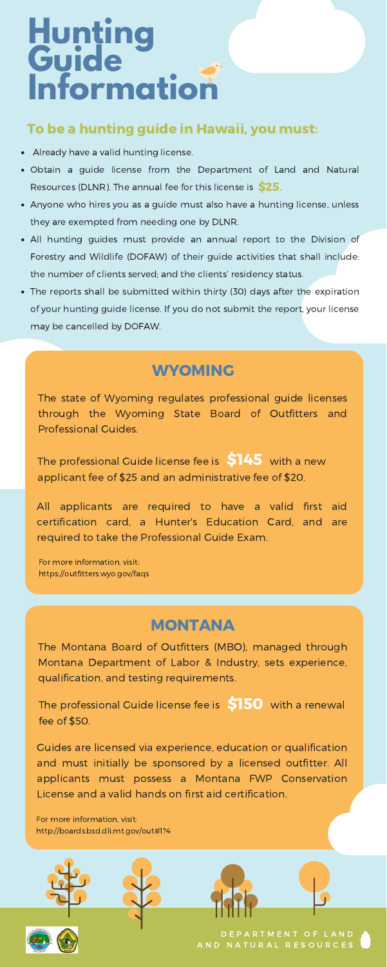# **Hunting Guide Information**

- Already have a valid hunting license.
- Obtain a guide license from the Department of Land and Natural Resources (DLNR). The annual fee for this license is \$25.
- Anyone who hires you as a guide must also have a hunting license, unless they are exempted from needing one by DLNR.
- All hunting guides must provide an annual report to the Division of Forestry and Wildlife (DOFAW) of their guide activities that shall include: the number of clients served; and the clients' residency status.
- The reports shall be submitted within thirty (30) days after the expiration of your hunting guide license. If you do not submit the report, your license may be cancelled by DOFAW.

D E P A R T [M](https://dlnr.hawaii.gov/recreation/hunting/) E N T O F L A N D A N D N A T U R A L R E S O U R C E S

 $\frac{1}{\sqrt{2}}$ recritational propositional facilities were were an The Montana Board of Outfitters (MBO), managed through Montana Department of Labor & Industry, sets experience, qualification, and testing requirements.

more professional bande fice per week than this in areas fee of \$50. The professional Guide license fee is  $\bigcirc$ 150 with a renewal

#### To be a hunting guide in [Hawaii,](https://dlnr.hawaii.gov/recreation/hunting/become-registered-guide/) you must:

The professional Guide license fee is  $\$145\>$  with a new applicant fee of \$25 and an administrative fee of \$20.

### MONTANA

Guides are licensed via experience, education or qualification and must initially be sponsored by a licensed outfitter. All applicants must possess a Montana FWP Conservation License and a valid hands on first aid certification.

For more information, visit: <http://boards.bsd.dli.mt.gov/out#1?4>

For more information, visit: <https://outfitters.wyo.gov/faqs>

#### WYOMING

The state of Wyoming regulates professional guide licenses through the Wyoming State Board of Outfitters and Professional Guides.

All applicants are required to have a valid first aid certification card, a Hunter's Education Card, and are required to take the Professional Guide Exam.